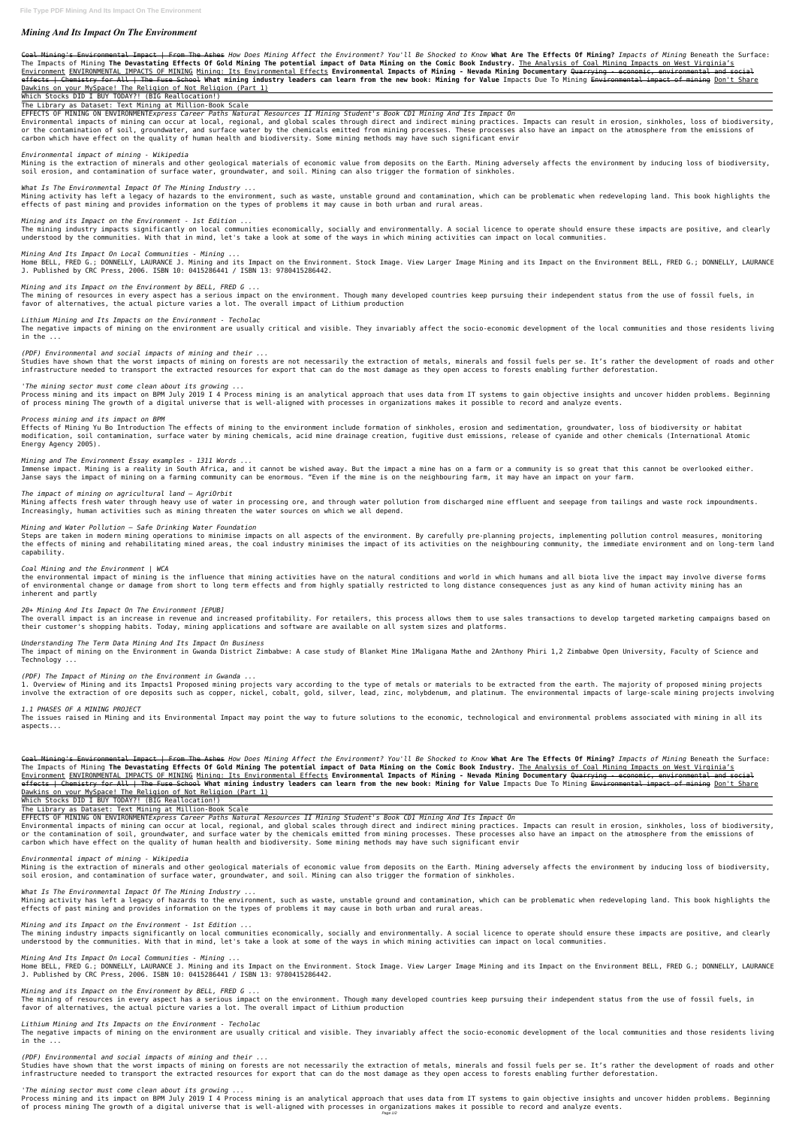Coal Mining's Environmental Impact | From The Ashes *How Does Mining Affect the Environment? You'll Be Shocked to Know* **What Are The Effects Of Mining?** *Impacts of Mining* Beneath the Surface: The Impacts of Mining **The Devastating Effects Of Gold Mining The potential impact of Data Mining on the Comic Book Industry.** The Analysis of Coal Mining Impacts on West Virginia's Environment ENVIRONMENTAL IMPACTS OF MINING Mining: Its Environmental Effects **Environmental Impacts of Mining - Nevada Mining Documentary** Quarrying - economic, environmental and social effects | Chemistry for All | The Fuse School What mining industry leaders can learn from the new book: Mining for Value Impacts Due To Mining Environmental impact of mining Don't Share Dawkins on your MySpace! The Religion of Not Religion (Part 1)

# *Mining And Its Impact On The Environment*

Which Stocks DID I BUY TODAY?! (BIG Reallocation!)

The Library as Dataset: Text Mining at Million-Book Scale

EFFECTS OF MINING ON ENVIRONMENT*Express Career Paths Natural Resources II Mining Student's Book CD1 Mining And Its Impact On*

Environmental impacts of mining can occur at local, regional, and global scales through direct and indirect mining practices. Impacts can result in erosion, sinkholes, loss of biodiversity, or the contamination of soil, groundwater, and surface water by the chemicals emitted from mining processes. These processes also have an impact on the atmosphere from the emissions of carbon which have effect on the quality of human health and biodiversity. Some mining methods may have such significant envir

## *Environmental impact of mining - Wikipedia*

Mining is the extraction of minerals and other geological materials of economic value from deposits on the Earth. Mining adversely affects the environment by inducing loss of biodiversity, soil erosion, and contamination of surface water, groundwater, and soil. Mining can also trigger the formation of sinkholes.

*What Is The Environmental Impact Of The Mining Industry ...*

Mining activity has left a legacy of hazards to the environment, such as waste, unstable ground and contamination, which can be problematic when redeveloping land. This book highlights the effects of past mining and provides information on the types of problems it may cause in both urban and rural areas.

*Mining and its Impact on the Environment - 1st Edition ...*

The mining industry impacts significantly on local communities economically, socially and environmentally. A social licence to operate should ensure these impacts are positive, and clearly understood by the communities. With that in mind, let's take a look at some of the ways in which mining activities can impact on local communities.

# *Mining And Its Impact On Local Communities - Mining ...*

Home BELL, FRED G.; DONNELLY, LAURANCE J. Mining and its Impact on the Environment. Stock Image. View Larger Image Mining and its Impact on the Environment BELL, FRED G.; DONNELLY, LAURANCE J. Published by CRC Press, 2006. ISBN 10: 0415286441 / ISBN 13: 9780415286442.

*Mining and its Impact on the Environment by BELL, FRED G ...*

The mining of resources in every aspect has a serious impact on the environment. Though many developed countries keep pursuing their independent status from the use of fossil fuels, in favor of alternatives, the actual picture varies a lot. The overall impact of Lithium production

*Lithium Mining and Its Impacts on the Environment - Techolac*

The negative impacts of mining on the environment are usually critical and visible. They invariably affect the socio-economic development of the local communities and those residents living in the ...

*(PDF) Environmental and social impacts of mining and their ...*

Studies have shown that the worst impacts of mining on forests are not necessarily the extraction of metals, minerals and fossil fuels per se. It's rather the development of roads and other infrastructure needed to transport the extracted resources for export that can do the most damage as they open access to forests enabling further deforestation.

*'The mining sector must come clean about its growing ...*

Process mining and its impact on BPM July 2019 I 4 Process mining is an analytical approach that uses data from IT systems to gain objective insights and uncover hidden problems. Beginning of process mining The growth of a digital universe that is well-aligned with processes in organizations makes it possible to record and analyze events.

*Process mining and its impact on BPM*

Effects of Mining Yu Bo Introduction The effects of mining to the environment include formation of sinkholes, erosion and sedimentation, groundwater, loss of biodiversity or habitat modification, soil contamination, surface water by mining chemicals, acid mine drainage creation, fugitive dust emissions, release of cyanide and other chemicals (International Atomic Energy Agency 2005).

## *Mining and The Environment Essay examples - 1311 Words ...*

Immense impact. Mining is a reality in South Africa, and it cannot be wished away. But the impact a mine has on a farm or a community is so great that this cannot be overlooked either. Janse says the impact of mining on a farming community can be enormous. "Even if the mine is on the neighbouring farm, it may have an impact on your farm.

## *The impact of mining on agricultural land – AgriOrbit*

Home BELL, FRED G.; DONNELLY, LAURANCE J. Mining and its Impact on the Environment. Stock Image. View Larger Image Mining and its Impact on the Environment BELL, FRED G.; DONNELLY, LAURANCE J. Published by CRC Press, 2006. ISBN 10: 0415286441 / ISBN 13: 9780415286442.

Mining affects fresh water through heavy use of water in processing ore, and through water pollution from discharged mine effluent and seepage from tailings and waste rock impoundments. Increasingly, human activities such as mining threaten the water sources on which we all depend.

## *Mining and Water Pollution — Safe Drinking Water Foundation*

Steps are taken in modern mining operations to minimise impacts on all aspects of the environment. By carefully pre-planning projects, implementing pollution control measures, monitoring the effects of mining and rehabilitating mined areas, the coal industry minimises the impact of its activities on the neighbouring community, the immediate environment and on long-term land capability.

## *Coal Mining and the Environment | WCA*

the environmental impact of mining is the influence that mining activities have on the natural conditions and world in which humans and all biota live the impact may involve diverse forms of environmental change or damage from short to long term effects and from highly spatially restricted to long distance consequences just as any kind of human activity mining has an inherent and partly

## *20+ Mining And Its Impact On The Environment [EPUB]*

The overall impact is an increase in revenue and increased profitability. For retailers, this process allows them to use sales transactions to develop targeted marketing campaigns based on their customer's shopping habits. Today, mining applications and software are available on all system sizes and platforms.

# *Understanding The Term Data Mining And Its Impact On Business*

The impact of mining on the Environment in Gwanda District Zimbabwe: A case study of Blanket Mine 1Maligana Mathe and 2Anthony Phiri 1,2 Zimbabwe Open University, Faculty of Science and Technology ...

# *(PDF) The Impact of Mining on the Environment in Gwanda ...*

1. Overview of Mining and its Impacts1 Proposed mining projects vary according to the type of metals or materials to be extracted from the earth. The majority of proposed mining projects involve the extraction of ore deposits such as copper, nickel, cobalt, gold, silver, lead, zinc, molybdenum, and platinum. The environmental impacts of large-scale mining projects involving

## *1.1 PHASES OF A MINING PROJECT*

The issues raised in Mining and its Environmental Impact may point the way to future solutions to the economic, technological and environmental problems associated with mining in all its aspects...

Coal Mining's Environmental Impact | From The Ashes *How Does Mining Affect the Environment? You'll Be Shocked to Know* **What Are The Effects Of Mining?** *Impacts of Mining* Beneath the Surface: The Impacts of Mining **The Devastating Effects Of Gold Mining The potential impact of Data Mining on the Comic Book Industry.** The Analysis of Coal Mining Impacts on West Virginia's Environment ENVIRONMENTAL IMPACTS OF MINING Mining: Its Environmental Effects **Environmental Impacts of Mining - Nevada Mining Documentary** Quarrying - economic, environmental and social effects | Chemistry for All | The Fuse School What mining industry leaders can learn from the new book: Mining for Value Impacts Due To Mining Environmental impact of mining Don't Share Dawkins on your MySpace! The Religion of Not Religion (Part 1)

Which Stocks DID I BUY TODAY?! (BIG Reallocation!)

The Library as Dataset: Text Mining at Million-Book Scale

EFFECTS OF MINING ON ENVIRONMENT*Express Career Paths Natural Resources II Mining Student's Book CD1 Mining And Its Impact On*

Environmental impacts of mining can occur at local, regional, and global scales through direct and indirect mining practices. Impacts can result in erosion, sinkholes, loss of biodiversity, or the contamination of soil, groundwater, and surface water by the chemicals emitted from mining processes. These processes also have an impact on the atmosphere from the emissions of carbon which have effect on the quality of human health and biodiversity. Some mining methods may have such significant envir

*Environmental impact of mining - Wikipedia*

Mining is the extraction of minerals and other geological materials of economic value from deposits on the Earth. Mining adversely affects the environment by inducing loss of biodiversity, soil erosion, and contamination of surface water, groundwater, and soil. Mining can also trigger the formation of sinkholes.

*What Is The Environmental Impact Of The Mining Industry ...*

Mining activity has left a legacy of hazards to the environment, such as waste, unstable ground and contamination, which can be problematic when redeveloping land. This book highlights the effects of past mining and provides information on the types of problems it may cause in both urban and rural areas.

*Mining and its Impact on the Environment - 1st Edition ...*

The mining industry impacts significantly on local communities economically, socially and environmentally. A social licence to operate should ensure these impacts are positive, and clearly understood by the communities. With that in mind, let's take a look at some of the ways in which mining activities can impact on local communities.

*Mining And Its Impact On Local Communities - Mining ...*

*Mining and its Impact on the Environment by BELL, FRED G ...*

The mining of resources in every aspect has a serious impact on the environment. Though many developed countries keep pursuing their independent status from the use of fossil fuels, in favor of alternatives, the actual picture varies a lot. The overall impact of Lithium production

*Lithium Mining and Its Impacts on the Environment - Techolac*

The negative impacts of mining on the environment are usually critical and visible. They invariably affect the socio-economic development of the local communities and those residents living in the ...

*(PDF) Environmental and social impacts of mining and their ...*

Studies have shown that the worst impacts of mining on forests are not necessarily the extraction of metals, minerals and fossil fuels per se. It's rather the development of roads and other infrastructure needed to transport the extracted resources for export that can do the most damage as they open access to forests enabling further deforestation.

*'The mining sector must come clean about its growing ...*

Process mining and its impact on BPM July 2019 I 4 Process mining is an analytical approach that uses data from IT systems to gain objective insights and uncover hidden problems. Beginning of process mining The growth of a digital universe that is well-aligned with processes in organizations makes it possible to record and analyze events.